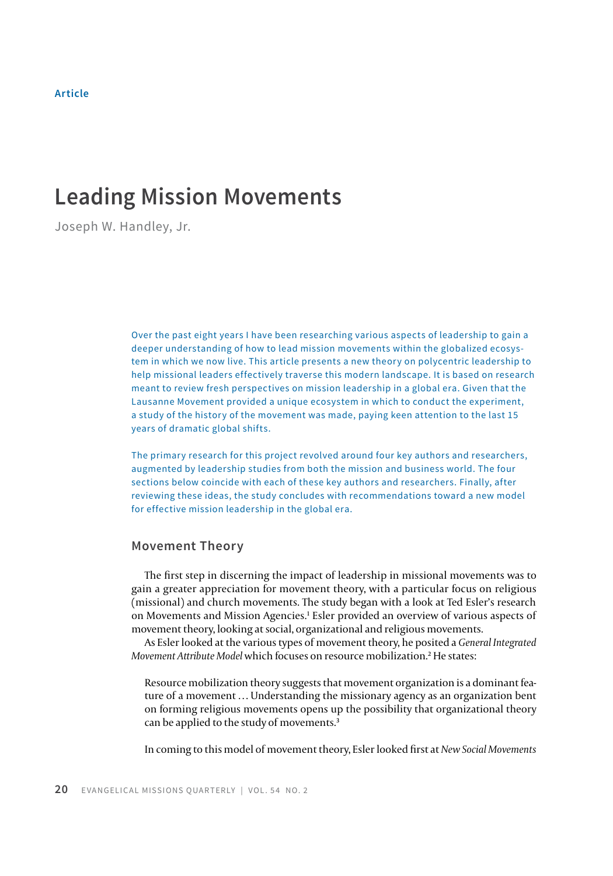# **Leading Mission Movements**

Joseph W. Handley, Jr.

Over the past eight years I have been researching various aspects of leadership to gain a deeper understanding of how to lead mission movements within the globalized ecosystem in which we now live. This article presents a new theory on polycentric leadership to help missional leaders effectively traverse this modern landscape. It is based on research meant to review fresh perspectives on mission leadership in a global era. Given that the Lausanne Movement provided a unique ecosystem in which to conduct the experiment, a study of the history of the movement was made, paying keen attention to the last 15 years of dramatic global shifts.

The primary research for this project revolved around four key authors and researchers, augmented by leadership studies from both the mission and business world. The four sections below coincide with each of these key authors and researchers. Finally, after reviewing these ideas, the study concludes with recommendations toward a new model for effective mission leadership in the global era.

### **Movement Theory**

The first step in discerning the impact of leadership in missional movements was to gain a greater appreciation for movement theory, with a particular focus on religious (missional) and church movements. The study began with a look at Ted Esler's research on Movements and Mission Agencies.1 Esler provided an overview of various aspects of movement theory, looking at social, organizational and religious movements.

As Esler looked at the various types of movement theory, he posited a *General Integrated Movement Attribute Model* which focuses on resource mobilization.2 He states:

Resource mobilization theory suggests that movement organization is a dominant feature of a movement … Understanding the missionary agency as an organization bent on forming religious movements opens up the possibility that organizational theory can be applied to the study of movements.3

In coming to this model of movement theory, Esler looked first at *New Social Movements*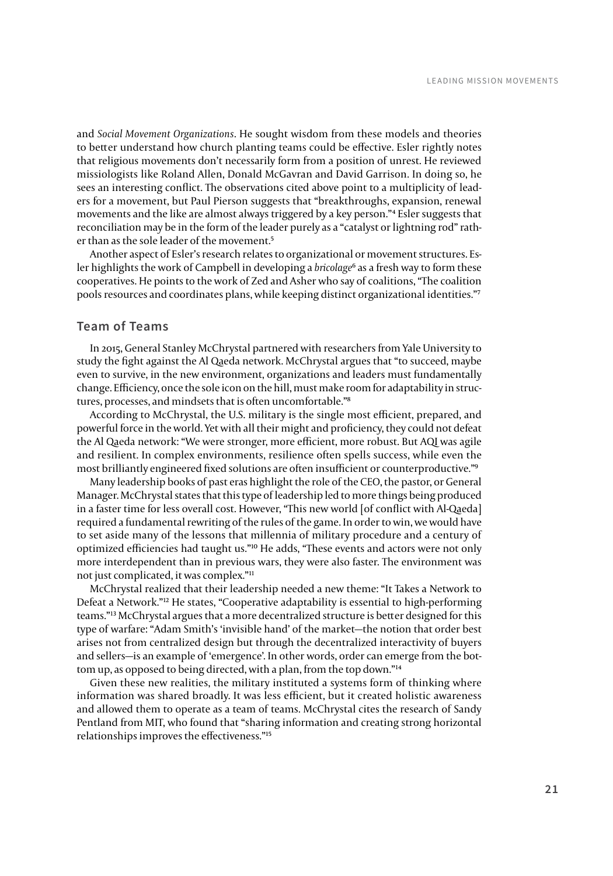and *Social Movement Organizations*. He sought wisdom from these models and theories to better understand how church planting teams could be effective. Esler rightly notes that religious movements don't necessarily form from a position of unrest. He reviewed missiologists like Roland Allen, Donald McGavran and David Garrison. In doing so, he sees an interesting conflict. The observations cited above point to a multiplicity of leaders for a movement, but Paul Pierson suggests that "breakthroughs, expansion, renewal movements and the like are almost always triggered by a key person."4 Esler suggests that reconciliation may be in the form of the leader purely as a "catalyst or lightning rod" rather than as the sole leader of the movement.<sup>5</sup>

Another aspect of Esler's research relates to organizational or movement structures. Esler highlights the work of Campbell in developing a *bricolage*6 as a fresh way to form these cooperatives. He points to the work of Zed and Asher who say of coalitions, "The coalition pools resources and coordinates plans, while keeping distinct organizational identities."7

### **Team of Teams**

In 2015, General Stanley McChrystal partnered with researchers from Yale University to study the fight against the Al Qaeda network. McChrystal argues that "to succeed, maybe even to survive, in the new environment, organizations and leaders must fundamentally change. Efficiency, once the sole icon on the hill, must make room for adaptability in structures, processes, and mindsets that is often uncomfortable."8

According to McChrystal, the U.S. military is the single most efficient, prepared, and powerful force in the world. Yet with all their might and proficiency, they could not defeat the Al Qaeda network: "We were stronger, more efficient, more robust. But AQI was agile and resilient. In complex environments, resilience often spells success, while even the most brilliantly engineered fixed solutions are often insufficient or counterproductive."9

Many leadership books of past eras highlight the role of the CEO, the pastor, or General Manager. McChrystal states that this type of leadership led to more things being produced in a faster time for less overall cost. However, "This new world [of conflict with Al-Qaeda] required a fundamental rewriting of the rules of the game. In order to win, we would have to set aside many of the lessons that millennia of military procedure and a century of optimized efficiencies had taught us."10 He adds, "These events and actors were not only more interdependent than in previous wars, they were also faster. The environment was not just complicated, it was complex."11

McChrystal realized that their leadership needed a new theme: "It Takes a Network to Defeat a Network."12 He states, "Cooperative adaptability is essential to high-performing teams."13 McChrystal argues that a more decentralized structure is better designed for this type of warfare: "Adam Smith's 'invisible hand' of the market—the notion that order best arises not from centralized design but through the decentralized interactivity of buyers and sellers—is an example of 'emergence'. In other words, order can emerge from the bottom up, as opposed to being directed, with a plan, from the top down."<sup>14</sup>

Given these new realities, the military instituted a systems form of thinking where information was shared broadly. It was less efficient, but it created holistic awareness and allowed them to operate as a team of teams. McChrystal cites the research of Sandy Pentland from MIT, who found that "sharing information and creating strong horizontal relationships improves the effectiveness."15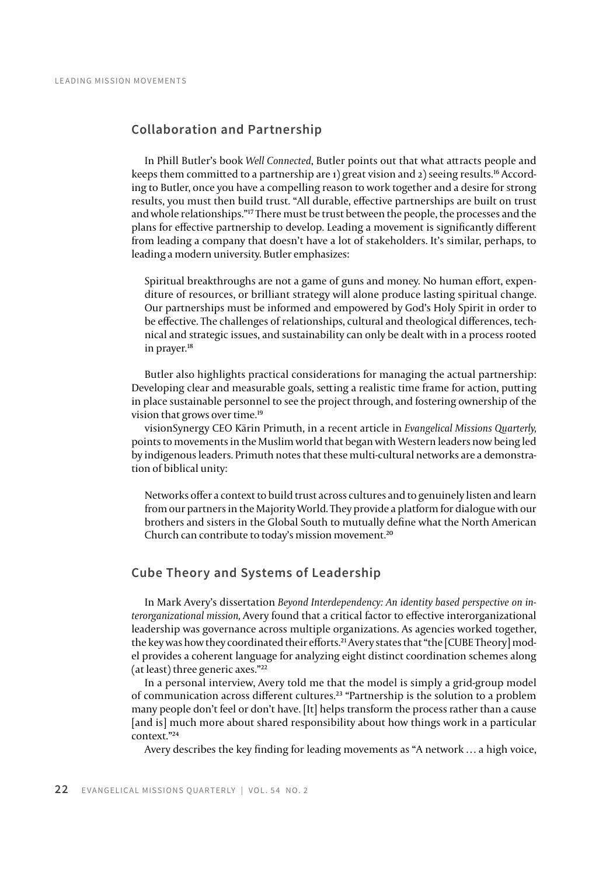# **Collaboration and Partnership**

In Phill Butler's book *Well Connected*, Butler points out that what attracts people and keeps them committed to a partnership are 1) great vision and 2) seeing results.<sup>16</sup> According to Butler, once you have a compelling reason to work together and a desire for strong results, you must then build trust. "All durable, effective partnerships are built on trust and whole relationships."17 There must be trust between the people, the processes and the plans for effective partnership to develop. Leading a movement is significantly different from leading a company that doesn't have a lot of stakeholders. It's similar, perhaps, to leading a modern university. Butler emphasizes:

Spiritual breakthroughs are not a game of guns and money. No human effort, expenditure of resources, or brilliant strategy will alone produce lasting spiritual change. Our partnerships must be informed and empowered by God's Holy Spirit in order to be effective. The challenges of relationships, cultural and theological differences, technical and strategic issues, and sustainability can only be dealt with in a process rooted in prayer.18

Butler also highlights practical considerations for managing the actual partnership: Developing clear and measurable goals, setting a realistic time frame for action, putting in place sustainable personnel to see the project through, and fostering ownership of the vision that grows over time.19

visionSynergy CEO Kärin Primuth, in a recent article in *Evangelical Missions Quarterly,* points to movements in the Muslim world that began with Western leaders now being led by indigenous leaders. Primuth notes that these multi-cultural networks are a demonstration of biblical unity:

Networks offer a context to build trust across cultures and to genuinely listen and learn from our partners in the Majority World. They provide a platform for dialogue with our brothers and sisters in the Global South to mutually define what the North American Church can contribute to today's mission movement.20

# **Cube Theory and Systems of Leadership**

In Mark Avery's dissertation *Beyond Interdependency: An identity based perspective on interorganizational mission,* Avery found that a critical factor to effective interorganizational leadership was governance across multiple organizations. As agencies worked together, the key was how they coordinated their efforts.21 Avery states that "the [CUBE Theory] model provides a coherent language for analyzing eight distinct coordination schemes along (at least) three generic axes."22

In a personal interview, Avery told me that the model is simply a grid-group model of communication across different cultures.23 "Partnership is the solution to a problem many people don't feel or don't have. [It] helps transform the process rather than a cause [and is] much more about shared responsibility about how things work in a particular context."24

Avery describes the key finding for leading movements as "A network … a high voice,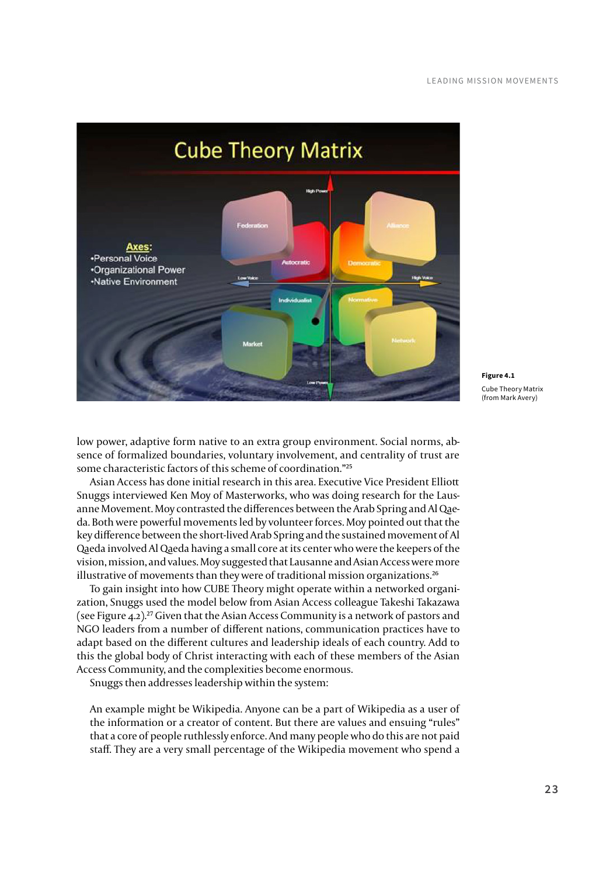

**Figure 4.1** Cube Theory Matrix (from Mark Avery)

low power, adaptive form native to an extra group environment. Social norms, absence of formalized boundaries, voluntary involvement, and centrality of trust are some characteristic factors of this scheme of coordination."25

Asian Access has done initial research in this area. Executive Vice President Elliott Snuggs interviewed Ken Moy of Masterworks, who was doing research for the Lausanne Movement. Moy contrasted the differences between the Arab Spring and Al Qaeda. Both were powerful movements led by volunteer forces. Moy pointed out that the key difference between the short-lived Arab Spring and the sustained movement of Al Qaeda involved Al Qaeda having a small core at its center who were the keepers of the vision, mission, and values. Moy suggested that Lausanne and Asian Access were more illustrative of movements than they were of traditional mission organizations.<sup>26</sup>

To gain insight into how CUBE Theory might operate within a networked organization, Snuggs used the model below from Asian Access colleague Takeshi Takazawa (see Figure 4.2).<sup>27</sup> Given that the Asian Access Community is a network of pastors and NGO leaders from a number of different nations, communication practices have to adapt based on the different cultures and leadership ideals of each country. Add to this the global body of Christ interacting with each of these members of the Asian Access Community, and the complexities become enormous.

Snuggs then addresses leadership within the system:

An example might be Wikipedia. Anyone can be a part of Wikipedia as a user of the information or a creator of content. But there are values and ensuing "rules" that a core of people ruthlessly enforce. And many people who do this are not paid staff. They are a very small percentage of the Wikipedia movement who spend a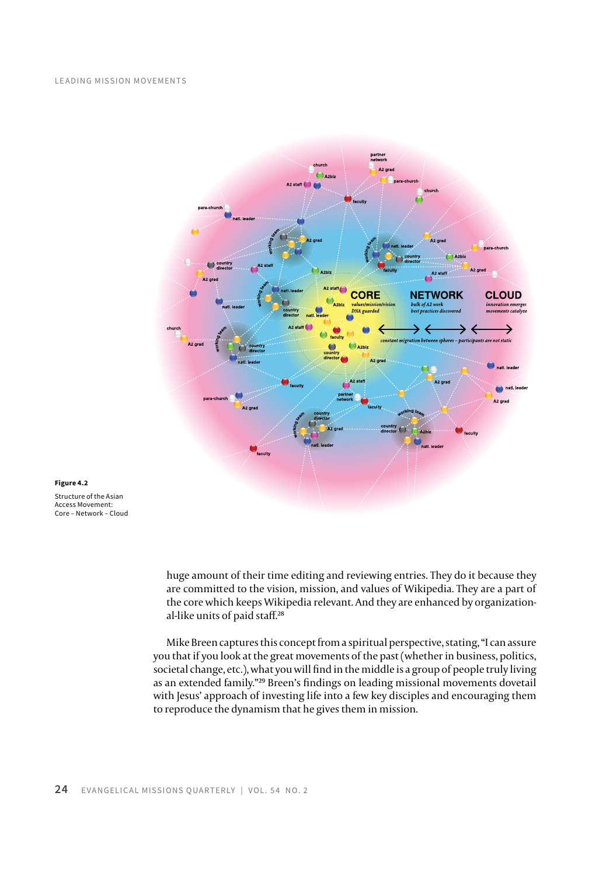#### Leading Mission Movements



#### **Figure 4.2**

Structure of the Asian Access Movement: Core – Network – Cloud

> huge amount of their time editing and reviewing entries. They do it because they are committed to the vision, mission, and values of Wikipedia. They are a part of the core which keeps Wikipedia relevant. And they are enhanced by organizational-like units of paid staff.28

Mike Breen captures this concept from a spiritual perspective, stating, "I can assure you that if you look at the great movements of the past (whether in business, politics, societal change, etc.), what you will find in the middle is a group of people truly living as an extended family."29 Breen's findings on leading missional movements dovetail with Jesus' approach of investing life into a few key disciples and encouraging them to reproduce the dynamism that he gives them in mission.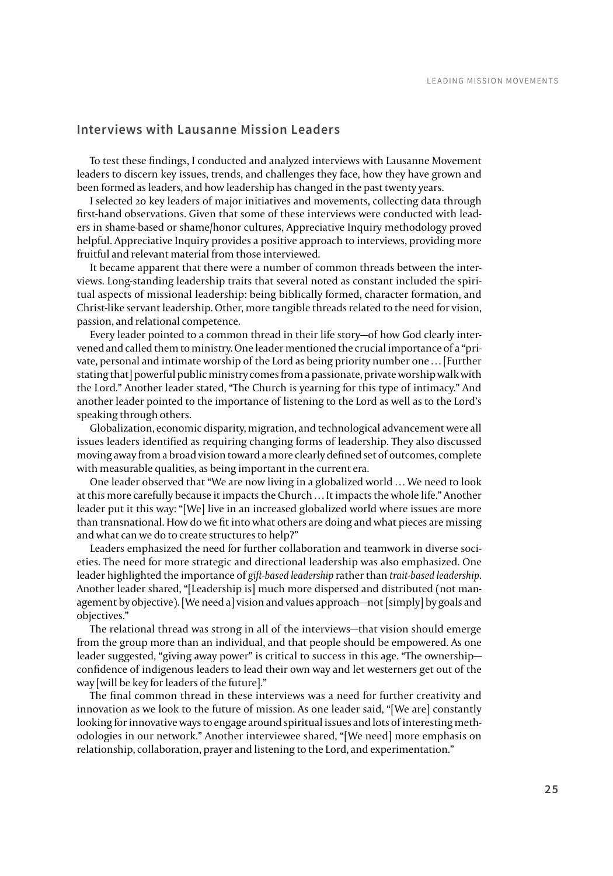### **Interviews with Lausanne Mission Leaders**

To test these findings, I conducted and analyzed interviews with Lausanne Movement leaders to discern key issues, trends, and challenges they face, how they have grown and been formed as leaders, and how leadership has changed in the past twenty years.

I selected 20 key leaders of major initiatives and movements, collecting data through first-hand observations. Given that some of these interviews were conducted with leaders in shame-based or shame/honor cultures, Appreciative Inquiry methodology proved helpful. Appreciative Inquiry provides a positive approach to interviews, providing more fruitful and relevant material from those interviewed.

It became apparent that there were a number of common threads between the interviews. Long-standing leadership traits that several noted as constant included the spiritual aspects of missional leadership: being biblically formed, character formation, and Christ-like servant leadership. Other, more tangible threads related to the need for vision, passion, and relational competence.

Every leader pointed to a common thread in their life story—of how God clearly intervened and called them to ministry. One leader mentioned the crucial importance of a "private, personal and intimate worship of the Lord as being priority number one … [Further stating that] powerful public ministry comes from a passionate, private worship walk with the Lord." Another leader stated, "The Church is yearning for this type of intimacy." And another leader pointed to the importance of listening to the Lord as well as to the Lord's speaking through others.

Globalization, economic disparity, migration, and technological advancement were all issues leaders identified as requiring changing forms of leadership. They also discussed moving away from a broad vision toward a more clearly defined set of outcomes, complete with measurable qualities, as being important in the current era.

One leader observed that "We are now living in a globalized world … We need to look at this more carefully because it impacts the Church … It impacts the whole life." Another leader put it this way: "[We] live in an increased globalized world where issues are more than transnational. How do we fit into what others are doing and what pieces are missing and what can we do to create structures to help?"

Leaders emphasized the need for further collaboration and teamwork in diverse societies. The need for more strategic and directional leadership was also emphasized. One leader highlighted the importance of *gift-based leadership* rather than *trait-based leadership*. Another leader shared, "[Leadership is] much more dispersed and distributed (not management by objective). [We need a] vision and values approach—not [simply] by goals and objectives."

The relational thread was strong in all of the interviews—that vision should emerge from the group more than an individual, and that people should be empowered. As one leader suggested, "giving away power" is critical to success in this age. "The ownership confidence of indigenous leaders to lead their own way and let westerners get out of the way [will be key for leaders of the future]."

The final common thread in these interviews was a need for further creativity and innovation as we look to the future of mission. As one leader said, "[We are] constantly looking for innovative ways to engage around spiritual issues and lots of interesting methodologies in our network." Another interviewee shared, "[We need] more emphasis on relationship, collaboration, prayer and listening to the Lord, and experimentation."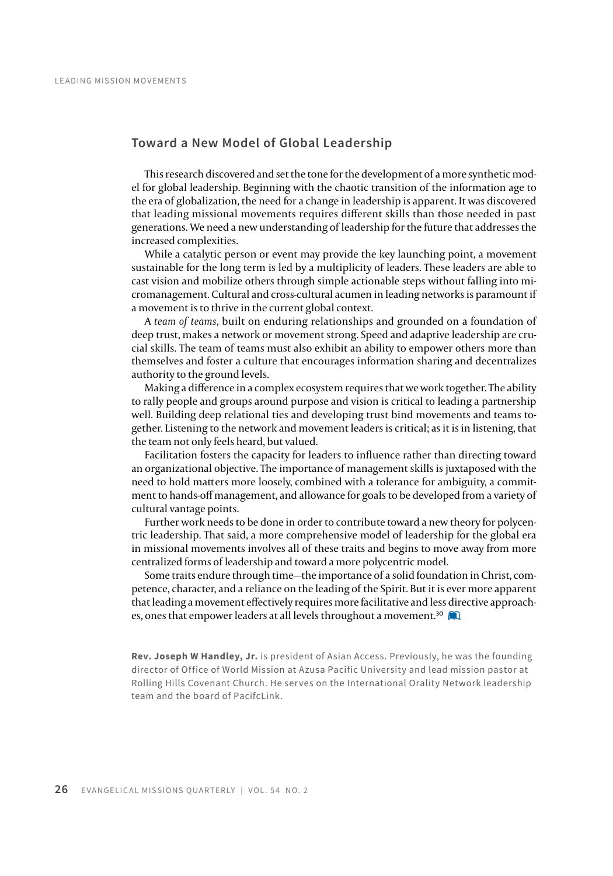### **Toward a New Model of Global Leadership**

This research discovered and set the tone for the development of a more synthetic model for global leadership. Beginning with the chaotic transition of the information age to the era of globalization, the need for a change in leadership is apparent. It was discovered that leading missional movements requires different skills than those needed in past generations. We need a new understanding of leadership for the future that addresses the increased complexities.

While a catalytic person or event may provide the key launching point, a movement sustainable for the long term is led by a multiplicity of leaders. These leaders are able to cast vision and mobilize others through simple actionable steps without falling into micromanagement. Cultural and cross-cultural acumen in leading networks is paramount if a movement is to thrive in the current global context.

A *team of teams*, built on enduring relationships and grounded on a foundation of deep trust, makes a network or movement strong. Speed and adaptive leadership are crucial skills. The team of teams must also exhibit an ability to empower others more than themselves and foster a culture that encourages information sharing and decentralizes authority to the ground levels.

Making a difference in a complex ecosystem requires that we work together. The ability to rally people and groups around purpose and vision is critical to leading a partnership well. Building deep relational ties and developing trust bind movements and teams together. Listening to the network and movement leaders is critical; as it is in listening, that the team not only feels heard, but valued.

Facilitation fosters the capacity for leaders to influence rather than directing toward an organizational objective. The importance of management skills is juxtaposed with the need to hold matters more loosely, combined with a tolerance for ambiguity, a commitment to hands-off management, and allowance for goals to be developed from a variety of cultural vantage points.

Further work needs to be done in order to contribute toward a new theory for polycentric leadership. That said, a more comprehensive model of leadership for the global era in missional movements involves all of these traits and begins to move away from more centralized forms of leadership and toward a more polycentric model.

Some traits endure through time—the importance of a solid foundation in Christ, competence, character, and a reliance on the leading of the Spirit. But it is ever more apparent that leading a movement effectively requires more facilitative and less directive approaches, ones that empower leaders at all levels throughout a movement.<sup>30</sup>

**Rev. Joseph W Handley, Jr.** is president of Asian Access. Previously, he was the founding director of Office of World Mission at Azusa Pacific University and lead mission pastor at Rolling Hills Covenant Church. He serves on the International Orality Network leadership team and the board of PacifcLink.